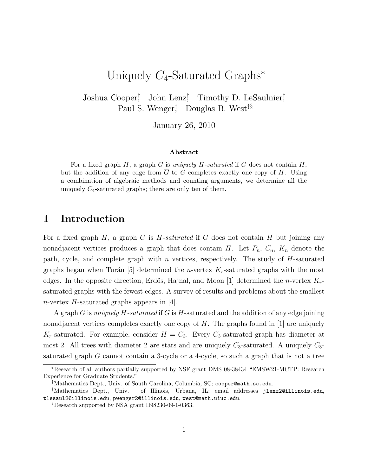# Uniquely  $C_4$ -Saturated Graphs<sup>\*</sup>

Joshua Cooper<sup>†</sup> John Lenz<sup>‡</sup> Timothy D. LeSaulnier<sup>‡</sup> Paul S. Wenger<sup>†</sup> Douglas B. West<sup>‡§</sup>

January 26, 2010

#### Abstract

For a fixed graph  $H$ , a graph G is uniquely  $H$ -saturated if G does not contain  $H$ , but the addition of any edge from  $\overline{G}$  to G completes exactly one copy of H. Using a combination of algebraic methods and counting arguments, we determine all the uniquely  $C_4$ -saturated graphs; there are only ten of them.

### 1 Introduction

For a fixed graph  $H$ , a graph  $G$  is  $H$ -saturated if  $G$  does not contain  $H$  but joining any nonadjacent vertices produces a graph that does contain H. Let  $P_n$ ,  $C_n$ ,  $K_n$  denote the path, cycle, and complete graph with n vertices, respectively. The study of  $H$ -saturated graphs began when Turán [5] determined the *n*-vertex  $K_r$ -saturated graphs with the most edges. In the opposite direction, Erdős, Hajnal, and Moon [1] determined the *n*-vertex  $K_r$ saturated graphs with the fewest edges. A survey of results and problems about the smallest n-vertex H-saturated graphs appears in  $|4|$ .

A graph G is *uniquely H-saturated* if G is H-saturated and the addition of any edge joining nonadjacent vertices completes exactly one copy of  $H$ . The graphs found in [1] are uniquely  $K_r$ -saturated. For example, consider  $H = C_3$ . Every  $C_3$ -saturated graph has diameter at most 2. All trees with diameter 2 are stars and are uniquely  $C_3$ -saturated. A uniquely  $C_3$ saturated graph G cannot contain a 3-cycle or a 4-cycle, so such a graph that is not a tree

<sup>∗</sup>Research of all authors partially supported by NSF grant DMS 08-38434 "EMSW21-MCTP: Research Experience for Graduate Students."

<sup>†</sup>Mathematics Dept., Univ. of South Carolina, Columbia, SC; cooper@math.sc.edu.

<sup>‡</sup>Mathematics Dept., Univ. of Illinois, Urbana, IL; email addresses jlenz2@illinois.edu, tlesaul2@illinois.edu, pwenger2@illinois.edu, west@math.uiuc.edu.

<sup>§</sup>Research supported by NSA grant H98230-09-1-0363.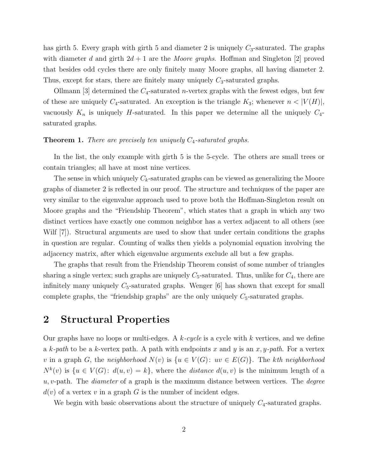has girth 5. Every graph with girth 5 and diameter 2 is uniquely  $C_3$ -saturated. The graphs with diameter d and girth  $2d + 1$  are the Moore graphs. Hoffman and Singleton [2] proved that besides odd cycles there are only finitely many Moore graphs, all having diameter 2. Thus, except for stars, there are finitely many uniquely  $C_3$ -saturated graphs.

Ollmann [3] determined the  $C_4$ -saturated *n*-vertex graphs with the fewest edges, but few of these are uniquely  $C_4$ -saturated. An exception is the triangle  $K_3$ ; whenever  $n < |V(H)|$ , vacuously  $K_n$  is uniquely H-saturated. In this paper we determine all the uniquely  $C_4$ saturated graphs.

#### **Theorem 1.** There are precisely ten uniquely  $C_4$ -saturated graphs.

In the list, the only example with girth 5 is the 5-cycle. The others are small trees or contain triangles; all have at most nine vertices.

The sense in which uniquely  $C_k$ -saturated graphs can be viewed as generalizing the Moore graphs of diameter 2 is reflected in our proof. The structure and techniques of the paper are very similar to the eigenvalue approach used to prove both the Hoffman-Singleton result on Moore graphs and the "Friendship Theorem", which states that a graph in which any two distinct vertices have exactly one common neighbor has a vertex adjacent to all others (see Wilf [7]). Structural arguments are used to show that under certain conditions the graphs in question are regular. Counting of walks then yields a polynomial equation involving the adjacency matrix, after which eigenvalue arguments exclude all but a few graphs.

The graphs that result from the Friendship Theorem consist of some number of triangles sharing a single vertex; such graphs are uniquely  $C_5$ -saturated. Thus, unlike for  $C_4$ , there are infinitely many uniquely  $C_5$ -saturated graphs. Wenger [6] has shown that except for small complete graphs, the "friendship graphs" are the only uniquely  $C_5$ -saturated graphs.

#### 2 Structural Properties

Our graphs have no loops or multi-edges. A  $k$ -cycle is a cycle with k vertices, and we define a k-path to be a k-vertex path. A path with endpoints x and y is an x, y-path. For a vertex v in a graph G, the neighborhood  $N(v)$  is  $\{u \in V(G): uv \in E(G)\}\)$ . The kth neighborhood  $N^k(v)$  is  $\{u \in V(G): d(u, v) = k\}$ , where the *distance*  $d(u, v)$  is the minimum length of a  $u, v$ -path. The *diameter* of a graph is the maximum distance between vertices. The *degree*  $d(v)$  of a vertex v in a graph G is the number of incident edges.

We begin with basic observations about the structure of uniquely  $C_4$ -saturated graphs.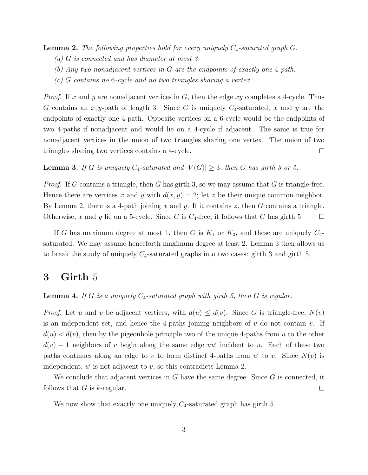**Lemma 2.** The following properties hold for every uniquely  $C_4$ -saturated graph  $G$ .

- (a) G is connected and has diameter at most 3.
- (b) Any two nonadjacent vertices in G are the endpoints of exactly one 4-path.
- (c) G contains no 6-cycle and no two triangles sharing a vertex.

*Proof.* If x and y are nonadjacent vertices in G, then the edge xy completes a 4-cycle. Thus G contains an x, y-path of length 3. Since G is uniquely  $C_4$ -saturated, x and y are the endpoints of exactly one 4-path. Opposite vertices on a 6-cycle would be the endpoints of two 4-paths if nonadjacent and would lie on a 4-cycle if adjacent. The same is true for nonadjacent vertices in the union of two triangles sharing one vertex. The union of two triangles sharing two vertices contains a 4-cycle.  $\Box$ 

**Lemma 3.** If G is uniquely  $C_4$ -saturated and  $|V(G)| \geq 3$ , then G has girth 3 or 5.

*Proof.* If G contains a triangle, then G has girth 3, so we may assume that G is triangle-free. Hence there are vertices x and y with  $d(x, y) = 2$ ; let z be their unique common neighbor. By Lemma 2, there is a 4-path joining  $x$  and  $y$ . If it contains  $z$ , then  $G$  contains a triangle. Otherwise, x and y lie on a 5-cycle. Since G is  $C_4$ -free, it follows that G has girth 5.  $\Box$ 

If G has maximum degree at most 1, then G is  $K_1$  or  $K_2$ , and these are uniquely  $C_4$ saturated. We may assume henceforth maximum degree at least 2. Lemma 3 then allows us to break the study of uniquely  $C_4$ -saturated graphs into two cases: girth 3 and girth 5.

### 3 Girth 5

**Lemma 4.** If G is a uniquely  $C_4$ -saturated graph with girth 5, then G is regular.

*Proof.* Let u and v be adjacent vertices, with  $d(u) \leq d(v)$ . Since G is triangle-free,  $N(v)$ is an independent set, and hence the 4-paths joining neighbors of  $v$  do not contain  $v$ . If  $d(u) < d(v)$ , then by the pigeonhole principle two of the unique 4-paths from u to the other  $d(v) - 1$  neighbors of v begin along the same edge uu' incident to u. Each of these two paths continues along an edge to v to form distinct 4-paths from  $u'$  to v. Since  $N(v)$  is independent,  $u'$  is not adjacent to  $v$ , so this contradicts Lemma 2.

We conclude that adjacent vertices in G have the same degree. Since  $G$  is connected, it follows that  $G$  is  $k$ -regular.  $\Box$ 

We now show that exactly one uniquely  $C_4$ -saturated graph has girth 5.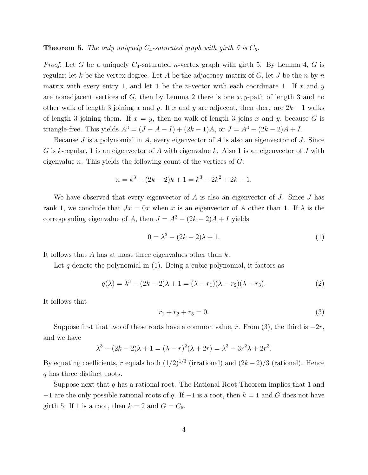#### **Theorem 5.** The only uniquely  $C_4$ -saturated graph with girth 5 is  $C_5$ .

*Proof.* Let G be a uniquely  $C_4$ -saturated *n*-vertex graph with girth 5. By Lemma 4, G is regular; let k be the vertex degree. Let A be the adjacency matrix of G, let J be the n-by-n matrix with every entry 1, and let 1 be the *n*-vector with each coordinate 1. If x and y are nonadjacent vertices of G, then by Lemma 2 there is one x, y-path of length 3 and no other walk of length 3 joining x and y. If x and y are adjacent, then there are  $2k-1$  walks of length 3 joining them. If  $x = y$ , then no walk of length 3 joins x and y, because G is triangle-free. This yields  $A^3 = (J - A - I) + (2k - 1)A$ , or  $J = A^3 - (2k - 2)A + I$ .

Because  $J$  is a polynomial in  $A$ , every eigenvector of  $A$  is also an eigenvector of  $J$ . Since G is k-regular, 1 is an eigenvector of A with eigenvalue k. Also 1 is an eigenvector of J with eigenvalue n. This yields the following count of the vertices of  $G$ :

$$
n = k3 - (2k - 2)k + 1 = k3 - 2k2 + 2k + 1.
$$

We have observed that every eigenvector of  $A$  is also an eigenvector of  $J$ . Since  $J$  has rank 1, we conclude that  $Jx = 0x$  when x is an eigenvector of A other than 1. If  $\lambda$  is the corresponding eigenvalue of A, then  $J = A^3 - (2k - 2)A + I$  yields

$$
0 = \lambda^3 - (2k - 2)\lambda + 1. \tag{1}
$$

It follows that A has at most three eigenvalues other than  $k$ .

Let q denote the polynomial in  $(1)$ . Being a cubic polynomial, it factors as

$$
q(\lambda) = \lambda^3 - (2k - 2)\lambda + 1 = (\lambda - r_1)(\lambda - r_2)(\lambda - r_3).
$$
\n(2)

It follows that

$$
r_1 + r_2 + r_3 = 0.\t\t(3)
$$

Suppose first that two of these roots have a common value, r. From (3), the third is  $-2r$ , and we have

$$
\lambda^{3} - (2k - 2)\lambda + 1 = (\lambda - r)^{2}(\lambda + 2r) = \lambda^{3} - 3r^{2}\lambda + 2r^{3}.
$$

By equating coefficients, r equals both  $(1/2)^{1/3}$  (irrational) and  $(2k-2)/3$  (rational). Hence q has three distinct roots.

Suppose next that q has a rational root. The Rational Root Theorem implies that 1 and  $-1$  are the only possible rational roots of q. If  $-1$  is a root, then  $k = 1$  and G does not have girth 5. If 1 is a root, then  $k = 2$  and  $G = C_5$ .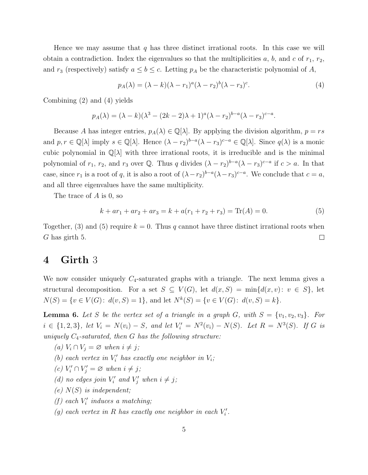Hence we may assume that  $q$  has three distinct irrational roots. In this case we will obtain a contradiction. Index the eigenvalues so that the multiplicities  $a, b$ , and  $c$  of  $r_1, r_2$ , and  $r_3$  (respectively) satisfy  $a \leq b \leq c$ . Letting  $p_A$  be the characteristic polynomial of A,

$$
p_A(\lambda) = (\lambda - k)(\lambda - r_1)^a (\lambda - r_2)^b (\lambda - r_3)^c.
$$
\n(4)

Combining (2) and (4) yields

$$
p_A(\lambda) = (\lambda - k)(\lambda^3 - (2k - 2)\lambda + 1)^a (\lambda - r_2)^{b-a} (\lambda - r_3)^{c-a}.
$$

Because A has integer entries,  $p_A(\lambda) \in \mathbb{Q}[\lambda]$ . By applying the division algorithm,  $p = rs$ and  $p, r \in \mathbb{Q}[\lambda]$  imply  $s \in \mathbb{Q}[\lambda]$ . Hence  $(\lambda - r_2)^{b-a}(\lambda - r_3)^{c-a} \in \mathbb{Q}[\lambda]$ . Since  $q(\lambda)$  is a monic cubic polynomial in  $\mathbb{Q}[\lambda]$  with three irrational roots, it is irreducible and is the minimal polynomial of  $r_1, r_2$ , and  $r_3$  over Q. Thus q divides  $(\lambda - r_2)^{b-a} (\lambda - r_3)^{c-a}$  if  $c > a$ . In that case, since  $r_1$  is a root of q, it is also a root of  $(\lambda - r_2)^{b-a} (\lambda - r_3)^{c-a}$ . We conclude that  $c = a$ , and all three eigenvalues have the same multiplicity.

The trace of A is 0, so

$$
k + ar_1 + ar_2 + ar_3 = k + a(r_1 + r_2 + r_3) = \text{Tr}(A) = 0.
$$
 (5)

Together, (3) and (5) require  $k = 0$ . Thus q cannot have three distinct irrational roots when G has girth 5.  $\Box$ 

### 4 Girth 3

We now consider uniquely  $C_4$ -saturated graphs with a triangle. The next lemma gives a structural decomposition. For a set  $S \subseteq V(G)$ , let  $d(x, S) = \min\{d(x, v): v \in S\}$ , let  $N(S) = \{v \in V(G): d(v, S) = 1\},\$ and let  $N^k(S) = \{v \in V(G): d(v, S) = k\}.$ 

**Lemma 6.** Let S be the vertex set of a triangle in a graph G, with  $S = \{v_1, v_2, v_3\}$ . For  $i \in \{1,2,3\}$ , let  $V_i = N(v_i) - S$ , and let  $V'_i = N^2(v_i) - N(S)$ . Let  $R = N^3(S)$ . If G is uniquely  $C_4$ -saturated, then G has the following structure:

- (a)  $V_i \cap V_j = \varnothing$  when  $i \neq j$ ;
- (b) each vertex in  $V_i'$  has exactly one neighbor in  $V_i$ ;
- (c)  $V'_i \cap V'_j = \varnothing$  when  $i \neq j$ ;
- (d) no edges join  $V'_i$  and  $V'_j$  when  $i \neq j$ ;
- $(e)$   $N(S)$  is independent;
- (f) each  $V_i'$  $\mathcal{U}'_i$  induces a matching;
- (g) each vertex in R has exactly one neighbor in each  $V_i'$  $\frac{r}{i}$ .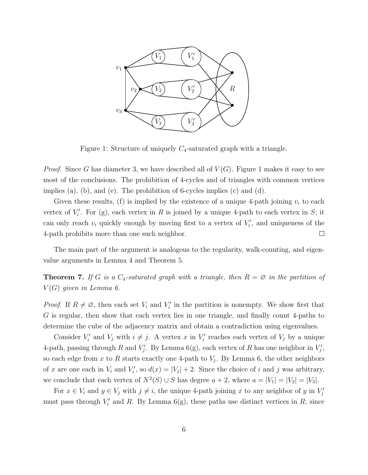

Figure 1: Structure of uniquely  $C_4$ -saturated graph with a triangle.

*Proof.* Since G has diameter 3, we have described all of  $V(G)$ . Figure 1 makes it easy to see most of the conclusions. The prohibition of 4-cycles and of triangles with common vertices implies (a), (b), and (e). The prohibition of 6-cycles implies (c) and (d).

Given these results, (f) is implied by the existence of a unique 4-path joining  $v_i$  to each vertex of  $V_i'$  $i'$ . For (g), each vertex in R is joined by a unique 4-path to each vertex in S; it can only reach  $v_i$  quickly enough by moving first to a vertex of  $V_i'$  $i'$ , and uniqueness of the 4-path prohibits more than one such neighbor.  $\Box$ 

The main part of the argument is analogous to the regularity, walk-counting, and eigenvalue arguments in Lemma 4 and Theorem 5.

**Theorem 7.** If G is a  $C_4$ -saturated graph with a triangle, then  $R = \emptyset$  in the partition of  $V(G)$  given in Lemma 6.

*Proof.* If  $R \neq \emptyset$ , then each set  $V_i$  and  $V'_i$  $i'$  in the partition is nonempty. We show first that G is regular, then show that each vertex lies in one triangle, and finally count 4-paths to determine the cube of the adjacency matrix and obtain a contradiction using eigenvalues.

Consider  $V_i'$  $V_i'$  and  $V_j$  with  $i \neq j$ . A vertex x in  $V_i'$  $\zeta_i'$  reaches each vertex of  $V_j$  by a unique 4-path, passing through  $R$  and  $V_i'$  $\mathcal{I}'_j$ . By Lemma 6(g), each vertex of R has one neighbor in  $V'_j$ j , so each edge from x to R starts exactly one 4-path to  $V_j$ . By Lemma 6, the other neighbors of x are one each in  $V_i$  and  $V'_i$  $i'$ , so  $d(x) = |V_j| + 2$ . Since the choice of i and j was arbitrary, we conclude that each vertex of  $N^2(S) \cup S$  has degree  $a + 2$ , where  $a = |V_1| = |V_2| = |V_3|$ .

For  $x \in V_i$  and  $y \in V_j$  with  $j \neq i$ , the unique 4-path joining x to any neighbor of y in  $V'_i$ j must pass through  $V_i'$  $\mathcal{I}'_i$  and R. By Lemma 6(g), these paths use distinct vertices in R; since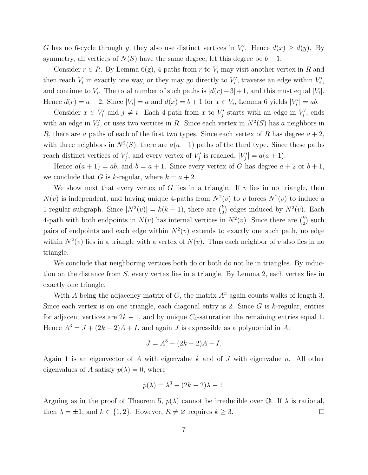G has no 6-cycle through y, they also use distinct vertices in  $V_i'$  $i'.$  Hence  $d(x) \geq d(y).$  By symmetry, all vertices of  $N(S)$  have the same degree; let this degree be  $b + 1$ .

Consider  $r \in R$ . By Lemma 6(g), 4-paths from r to  $V_i$  may visit another vertex in R and then reach  $V_i$  in exactly one way, or they may go directly to  $V_i'$  $V_i'$ , traverse an edge within  $V_i'$  $\frac{r}{i}$ , and continue to  $V_i$ . The total number of such paths is  $[d(r)-3]+1$ , and this must equal  $|V_i|$ . Hence  $d(r) = a + 2$ . Since  $|V_i| = a$  and  $d(x) = b + 1$  for  $x \in V_i$ , Lemma 6 yields  $|V'_i|$  $\binom{r'}{i} = ab.$ 

Consider  $x \in V'_i$  $z_i'$  and  $j \neq i$ . Each 4-path from x to  $V_j'$  $S'_{j}$  starts with an edge in  $V'_{i}$  $i$ <sup>'</sup>, ends with an edge in  $V_i'$  $j'$ , or uses two vertices in R. Since each vertex in  $N^2(S)$  has a neighbors in R, there are a paths of each of the first two types. Since each vertex of R has degree  $a + 2$ , with three neighbors in  $N^2(S)$ , there are  $a(a-1)$  paths of the third type. Since these paths reach distinct vertices of  $V_i'$  $y'$ , and every vertex of  $V'_j$  $'_{j}$  is reached,  $|V'_{j}|$  $|g'_{j}| = a(a+1).$ 

Hence  $a(a + 1) = ab$ , and  $b = a + 1$ . Since every vertex of G has degree  $a + 2$  or  $b + 1$ , we conclude that G is k-regular, where  $k = a + 2$ .

We show next that every vertex of  $G$  lies in a triangle. If  $v$  lies in no triangle, then  $N(v)$  is independent, and having unique 4-paths from  $N^2(v)$  to v forces  $N^2(v)$  to induce a 1-regular subgraph. Since  $|N^2(v)| = k(k-1)$ , there are  $\binom{k}{2}$  edges induced by  $N^2(v)$ . Each 4-path with both endpoints in  $N(v)$  has internal vertices in  $N^2(v)$ . Since there are  $\binom{k}{2}$  such pairs of endpoints and each edge within  $N^2(v)$  extends to exactly one such path, no edge within  $N^2(v)$  lies in a triangle with a vertex of  $N(v)$ . Thus each neighbor of v also lies in no triangle.

We conclude that neighboring vertices both do or both do not lie in triangles. By induction on the distance from S, every vertex lies in a triangle. By Lemma 2, each vertex lies in exactly one triangle.

With A being the adjacency matrix of G, the matrix  $A<sup>3</sup>$  again counts walks of length 3. Since each vertex is on one triangle, each diagonal entry is 2. Since  $G$  is k-regular, entries for adjacent vertices are  $2k - 1$ , and by unique  $C_4$ -saturation the remaining entries equal 1. Hence  $A^3 = J + (2k - 2)A + I$ , and again J is expressible as a polynomial in A:

$$
J = A^3 - (2k - 2)A - I.
$$

Again 1 is an eigenvector of A with eigenvalue k and of J with eigenvalue n. All other eigenvalues of A satisfy  $p(\lambda) = 0$ , where

$$
p(\lambda) = \lambda^3 - (2k - 2)\lambda - 1.
$$

Arguing as in the proof of Theorem 5,  $p(\lambda)$  cannot be irreducible over Q. If  $\lambda$  is rational, then  $\lambda = \pm 1$ , and  $k \in \{1, 2\}$ . However,  $R \neq \emptyset$  requires  $k \geq 3$ .  $\Box$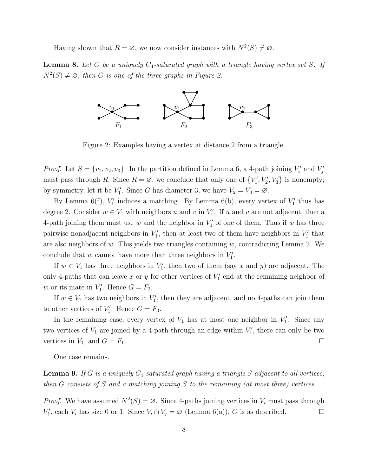Having shown that  $R = \emptyset$ , we now consider instances with  $N^2(S) \neq \emptyset$ .

**Lemma 8.** Let G be a uniquely  $C_4$ -saturated graph with a triangle having vertex set S. If  $N^2(S) \neq \emptyset$ , then G is one of the three graphs in Figure 2.



Figure 2: Examples having a vertex at distance 2 from a triangle.

*Proof.* Let  $S = \{v_1, v_2, v_3\}$ . In the partition defined in Lemma 6, a 4-path joining  $V_i'$  $V'_i$  and  $V'_j$ j must pass through R. Since  $R = \emptyset$ , we conclude that only one of  $\{V'_1, V'_2, V'_3\}$  is nonempty; by symmetry, let it be  $V'_1$ . Since G has diameter 3, we have  $V_2 = V_3 = \emptyset$ .

By Lemma 6(f),  $V'_1$  induces a matching. By Lemma 6(b), every vertex of  $V'_1$  thus has degree 2. Consider  $w \in V_1$  with neighbors u and v in  $V'_1$ . If u and v are not adjacent, then a 4-path joining them must use w and the neighbor in  $V'_1$  of one of them. Thus if w has three pairwise nonadjacent neighbors in  $V_1'$ , then at least two of them have neighbors in  $V_1'$  that are also neighbors of  $w$ . This yields two triangles containing  $w$ , contradicting Lemma 2. We conclude that w cannot have more than three neighbors in  $V_1'$ .

If  $w \in V_1$  has three neighbors in  $V'_1$ , then two of them (say x and y) are adjacent. The only 4-paths that can leave x or y for other vertices of  $V_1'$  end at the remaining neighbor of w or its mate in  $V'_1$ . Hence  $G = F_2$ .

If  $w \in V_1$  has two neighbors in  $V_1'$ , then they are adjacent, and no 4-paths can join them to other vertices of  $V'_1$ . Hence  $G = F_3$ .

In the remaining case, every vertex of  $V_1$  has at most one neighbor in  $V'_1$ . Since any two vertices of  $V_1$  are joined by a 4-path through an edge within  $V_1'$ , there can only be two vertices in  $V_1$ , and  $G = F_1$ .  $\Box$ 

One case remains.

**Lemma 9.** If G is a uniquely  $C_4$ -saturated graph having a triangle S adjacent to all vertices, then G consists of S and a matching joining S to the remaining (at most three) vertices.

*Proof.* We have assumed  $N^2(S) = \emptyset$ . Since 4-paths joining vertices in  $V_i$  must pass through  $V_i'$  $V_i'$ , each  $V_i$  has size 0 or 1. Since  $V_i \cap V_j = \emptyset$  (Lemma 6(a)), G is as described.  $\Box$